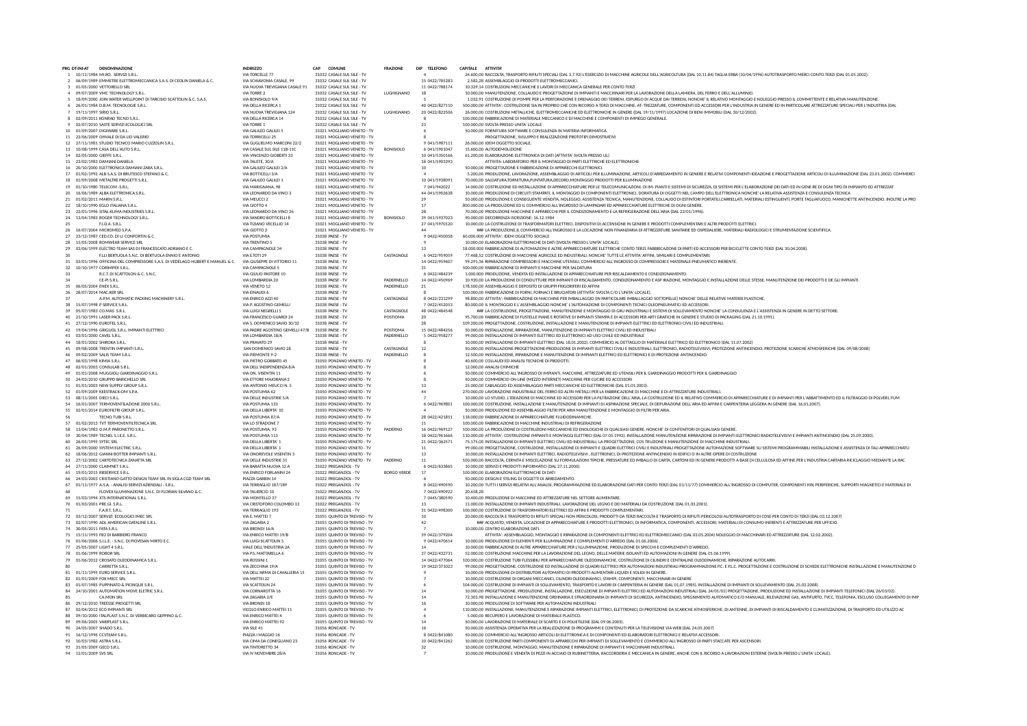| PRG DT-INI-AT | <b>DENOMINAZIONE</b>                                                                  |                                                  | <b>COMUNE</b>                                                | <b>FRAZIONE</b>    | DIP TELEFONO           | CAPITALE ATTIVITA                                                                                                                                                                                                                                                                  |
|---------------|---------------------------------------------------------------------------------------|--------------------------------------------------|--------------------------------------------------------------|--------------------|------------------------|------------------------------------------------------------------------------------------------------------------------------------------------------------------------------------------------------------------------------------------------------------------------------------|
|               | 1 10/11/1984 MI.RO. SERVIZI S.R.L                                                     | VIA TORCELLE 77                                  | 31032 CASALE SUL SILE - TV                                   |                    |                        | 24.600,00 RACCOLTA, TRASPORTO RIFIUTI SPECIALI (DAL 3.7.92) L'ESERCIZIO DI MACCHINE AGRICOLE DELL'AGRICOLTURA (DAL 10.11.84) TAGLIA ERBA (10/04/1996) AUTOTRASPORTO MERCI CONTO TERZI (DAL 01.05.2002).                                                                            |
|               | 2 06/09/1989 EMMETRE ELETTROMECCANICA S.A.S. DLCEOLIN DANIELA & C.                    | VIA SCHIAVONIA CASALE 99                         | 31032 CASALE SUL SILE - TV                                   |                    | 15 0422/785283         | 2.582.28 ASSEMBLAGGIO DI PRODOTTI ELETTROMECCANICI.                                                                                                                                                                                                                                |
|               | 3 01/05/2000 VETTORELLO SRL                                                           | VIA NUOVA TREVIGIANA CASALE 91                   | 31032 CASALE SUL SILE - TV                                   |                    | 11 0422/788174         | 10.329.14 COSTRUZIONI MECCANICHE E LAVORI DI MECCANICA GENERALE PER CONTO TERZI                                                                                                                                                                                                    |
|               | 4 09/07/2009 VMC TECHNOLOGY S.R.L                                                     | <b>VIA TORRE 2</b>                               | 31032 CASALE SUL SILE - TV                                   | LUGHIGNANO         | 18                     | 10.000.00 MANUTENZIONE, COLLAUDO E PROGETTAZIONE DI IMPIANTI E MACCHINARI PER LA LAVORAZIONE DELLA LAMIERA. DEL FERRO E DELL'ALLUMINIO.                                                                                                                                            |
|               | 5 18/09/2000 JOIN WATER WELLPOINT DI TARCISIO SCATTOLIN & C. S.A.S.                   | VIA BONISIOLO 9/A                                | 31032 CASALE SUL SILE - TV                                   |                    |                        | 1.032,91 COSTRUZIONE DI POMPE PER LA PERFORAZIONE E DRENAGGIO DEI TERRENI, ESPURGO DI ACQUE DAI TERRENI, NONCHE' IL RELATIVO MONTAGGIO E NOLEGGIO PRESSO IL COMMITTENTE E RELATIVA MANUTENZIONE.                                                                                   |
|               | 6 26/01/1984 D.B.M. TECNOLOGIE S.R.L.                                                 | VIA DELLA RICERCA 1                              | 31032 CASALE SUL SILE - TV                                   |                    | 40 0422/827110         | 500.000,00 ATTIVITA': COSTRUZIONE SIA IN PROPRIO CHE CON RICORSO A TERZI DI MACCHINE, AT- TREZZATURE, COMPONENTI ED ACCESSORI PER L'INDUSTRIA IN GENERE ED IN PARTICOLARE ATTREZZATURE SPECIALI PER L'INDUSTRIA (DAL                                                               |
|               | 19/11/1997 SIRIO S.R.L.                                                               | VIA NUOVA TREVIGIANA 124                         | 31032 CASALE SUL SILE - TV                                   | LUGHIGNANO         | 20 0422/822506         | 26.000,00 COSTRUZIONI METALLICHE, ELETTROMECCANICHE ED ELETTRONICHE IN GENERE (DAL 19/11/1997) LOCAZIONE DI BENI IMMOBILI (DAL 30/12/2002).                                                                                                                                        |
|               | 8 02/09/2011 KONRAD TECNO S.R.L.                                                      | VIA DELLA RICERCA 14                             | 31032 CASALE SUL SILE - TV                                   |                    |                        | 100.000,00 FABBRICAZIONE DI MATERIALE MECCANICO E DI MACCHINE E COMPONENTI DI IMPIEGO GENERALE                                                                                                                                                                                     |
|               | 9 02/07/2010 SASTE SERVIZI ECOLOGICI SRL                                              | VIA TORRE 1                                      | 31032 CASALE SUL SILE - TV                                   |                    | 23                     | 100,000,00 SVOLTA PRESSO UNITA' LOCALE                                                                                                                                                                                                                                             |
|               | 10 01/09/2007 DIGIWARE S.R.L.                                                         | VIA GALILEO GALILEI 5                            | 31021 MOGLIANO VENETO - TV                                   |                    |                        | 50,000.00 FORNITURA SOFTWARE E CONSULENZA IN MATERIA INFORMATICA.                                                                                                                                                                                                                  |
|               | 11 22/06/2009 OHVALE DI DA LIO VALERIO                                                | <b>VIA TORRICELLI 25</b>                         | 31021 MOGLIANO VENETO - TV                                   |                    |                        | PROGETTAZIONE, SVILUPPO E REALIZZAZIONE PROTOTIPI DIMOSTRATIVI                                                                                                                                                                                                                     |
|               | 12 27/11/1981 STUDIO TECNICO MARIO CUZZOLIN S.R.L.                                    | VIA GUGLIELMO MARCONI 22/2                       | 31021 MOGLIANO VENETO - TV                                   |                    | 9 041/5987111          | 26.000,00 IDEM OGGETTO SOCIALE.                                                                                                                                                                                                                                                    |
|               | 13 10/08/1999 CASA DELL'AUTO S.R.L.                                                   | VIA CASALE SUL SILE 11B-11C                      | 31021 MOGLIANO VENETO - TV                                   | <b>BONISIOLO</b>   | 6 041/5901047          | 15.600,00 AUTODEMOLIZIONE                                                                                                                                                                                                                                                          |
| 14            | 02/05/2000 GIEFFE S.R.L.                                                              | VIA VINCENZO GIOBERTI 33                         | 31021 MOGLIANO VENETO - TV                                   |                    | 10 041/5350166         | 61.200,00 ELABORAZIONE ELETTRONICA DI DATI (ATTIVITA' SVOLTA PRESSO UL)                                                                                                                                                                                                            |
|               | 15 23/02/1983 DAMIANI DANIELA                                                         | VIA TALETE, 30/A                                 | 31021 MOGLIANO VENETO - TV                                   |                    | 18 041/5903393         | ATTIVITA: LABORATORIO PER IL MONTAGGIO DI PARTI ELETTRICHE ED ELETTRONICHE                                                                                                                                                                                                         |
|               | 16 20/10/2000 ELETTRONICA DAMIANI ZARA S.R.L.                                         | VIA GALILEO GALILEI 2/A                          | 31021 MOGLIANO VENETO - TV                                   |                    | 10                     | 50,000.00 PROGETTAZIONE E FABBRICAZIONE DI APPARECCHI ELETTRONICI.                                                                                                                                                                                                                 |
|               | 17 01/02/1992 ALB S.A.S. DI BRUTESCO STEFANO & C.                                     | VIA BOTTICELLI 3/A                               | 31021 MOGLIANO VENETO - TV                                   |                    |                        | 5.200,00 PRODUZIONE, LAVORAZIONE, ASSEMBLAGGIO DI ARTICOLI PER ILLUMINAZIONE, ARTICOLI D'ARREDAMENTO IN GENERE E RELATIVI COMPONENTI IDEAZIONE E PROGETTAZIONE ARTICOLI DI ILLUMINAZIONE (DAL 23.01.2002). COMMERCI                                                                |
|               | 18 01/09/2008 METALTRE PROGETTI S.R.L.                                                | VIA GALILEO GALILEI 1                            | 31021 MOGLIANO VENETO - TV                                   |                    | 10 041/5938091         | 70.000,00 SALDATURA,TORNITURA,PUNTATURA,DECORO,MONTAGGIO PRODOTTI PER ILLUMINAZIONE                                                                                                                                                                                                |
|               | 19 01/10/1980 TELECOM -S.R.L                                                          | VIA MARIGNANA, 98                                | 31021 MOGLIANO VENETO - TV                                   |                    | 7 041/942022           | 14.000,00 COSTRUZIONE ED INSTALLAZIONE DI APPARECCHIATURE PER LE TELECOMUNICAZIONI, DI IM- PIANTI E SISTEMI DI SICUREZZA, DI SISTEMI PER L'ELABORAZIONE DEI DATI ED IN GENE RE DI OGNI TIPO DI IMPIANTO ED ATTREZZAT                                                               |
|               | 20 16/06/1989 ALBA ELETTRONICA S.R.L                                                  | VIA LEONARDO DA VINCI 3                          | 31021 MOGLIANO VENETO - TV                                   |                    | 44 041/5902638         | 10.000,00 PRODUZIONE DI CIRCUITI STAMPATI, IL MONTAGGIO DI COMPONENTI ELETTRONICI, DORATURA DI OGGETTI NEL CAMPO DELL'ELETTRONICA NONCHE' LA RELATIVA ASSISTENZA E CONSULENZA TECNICA                                                                                              |
|               | 21 01/02/2011 MARIN S.R.L.                                                            | VIA MEUCCI 2                                     | 31021 MOGLIANO VENETO - TV                                   |                    | 29                     | 50.000,00 PRODUZIONE E CONSEGUENTE VENDITA, NOLEGGIO, ASSISTENZA TECNICA, MANUTENZIONE, COLLAUDO DI ESTINTORI PORTATILI,CARRELLATI, MATERIALI ESTINGUENTI, PORTE TAGLIAFUOCO, MANICHETTE ANTINCENDIO. INOLTRE LA PRO                                                               |
|               | 22 18/10/1990 EGLO ITALIANA S.R.L.                                                    | VIA GIOTTO 4                                     | 31021 MOGLIANO VENETO - TV                                   |                    | 17                     | 800.000.00 LA PRODUZIONE ED IL COMMERCIO ALL'INGROSSO DI LAMPADARI ED APPARECCHIATURE ELETTRICHE DI OGNI GENERE.                                                                                                                                                                   |
|               | 23 22/01/1996 SITAL KLIMA INDUSTRIES S.R.L.                                           | VIA LEONARDO DA VINCI 26                         | 31021 MOGLIANO VENETO - TV                                   |                    | 28                     | 70.000.00 PRODUZIONE MACCHINE E APPARECCHI PER IL CONDIZIONAMENTO E LA REFRIGERAZIONE DELL'ARIA (DAL 22/01/1996).                                                                                                                                                                  |
|               | 24 13/04/1983 ROGER TECHNOLOGY S.R.L.                                                 | VIA SANDRO BOTTICELLI 8                          | 31021 MOGLIANO VENETO - TV                                   | <b>BONISIOLO</b>   | 39 041/5937023         | 90,000.00 DECORRENZA ISCRIZIONE: 16.12.1984                                                                                                                                                                                                                                        |
|               | F.I.D.A. S.R.L.                                                                       | VIA TIZIANO VECELLIO 14                          | 31021 MOGLIANO VENETO - TV                                   |                    | 27 041/5970120         | 10.000,00 LA COSTRUZIONE DI TRASFORMATORI ELETTRICI, DISPOSITIVI DI ACCENSIONE IN GENERE E PRODOTTI COMPLEMENTARI E ALTRI PRODOTTI ELETTRICI.                                                                                                                                      |
|               | 26 16/07/2004 MICROMED S.P.A                                                          | VIA GIOTTO 2                                     | 31021 MOGLIANO VENETO - TV                                   |                    | 44                     | ### LA PRODUZIONE,IL COMMERCIO ALL'INGROSSO E LA LOCAZIONE NON FINANZIARIA DI ATTREZZATURE SANITARIE ED OSPEDALIERE, MATERIALI RADIOLOGICI E STRUMENTAZIONE SCIENTIFICA.                                                                                                           |
|               | 27 23/12/1987 CED.CO. DI U. CONFORTIN & C.                                            | VIA POSTUMIA                                     | 31038 PAESE - TV                                             |                    | 9 0422/450058          | 60,000,000 ATTIVITA': IDEM OGGETTO SOCIALE                                                                                                                                                                                                                                         |
| 28            | 15/05/2008 ROMWEAR SERVICE SRL                                                        | <b>VIA TRENTINO 5</b>                            | 31038 PAESE - TV                                             |                    |                        | 10,000.00 ELABORAZIONI ELETTRONICHE DI DATI (SVOLTA PRESSO L'UNITA' LOCALE).                                                                                                                                                                                                       |
|               | 29 03/06/1999 ELECTRO TEAM SAS DI FRANCESCATO ADRIANO E C.                            | VIA CAMPAGNOLE 34                                | 31038 PAESE - TV                                             |                    | 13                     | 18.000.000 FABBRICAZIONE DI AUTOMAZIONI E ALTRE APPARECCHIATURE ELETTRICHE CONTO TERZI. FABBRICAZIONE DI PARTI ED ACCESSORI PER BICICLETTE CONTO TERZI (DAL 30.04.2008).                                                                                                           |
| 30            | F.LLI BERTUOLA S.N.C. DI BERTUOLA ENNIO E ANTONIO                                     | VIA E.TOTI 29                                    | 31038 PAESE - TV                                             | CASTAGNOLE         | 6 0422/959059          | 77.468.52 COSTRUZIONE DI MACCHINE AGRICOLE ED INDUSTRIALI. NONCHE' TUTTE LE ATTIVITA' AFFINI. SIMILARI E COMPLEMENTARI.                                                                                                                                                            |
|               | 31 03/01/1996 OFFICINA DEL COMPRESSORE S.A.S. DI VEDELAGO HUBERT E MANUEL & C.        | VIA GIUSEPPE DI VITTORIO 11                      | 31038 PAESE - TV                                             |                    | 14 0422/959607         | 99.291.36 RIPARAZIONE COMPRESSORI E MACCHINE UTENSILI. COMMERCIO ALL'INGROSSO DI COMPRESSORI E MATERIALE PNEUMATICO INERENTE.                                                                                                                                                      |
| 32            | 10/10/1977 CORIMPEX S.R.L.                                                            | VIA CAMPAGNOLE 5                                 | 31038 PAESE - TV                                             |                    | 31                     | 500,000,00 FABBRICAZIONE DI IMPIANTI E MACCHINE PER SALDATURA                                                                                                                                                                                                                      |
| 33            | R.C.T. DI SCATTOLON & C. S.N.C.                                                       | VIA GIULIO PASTORE 10                            | 31038 PAESE - TV                                             |                    | 6 0422/484239          | 1.000.000 PRODUZIONE, VENDITA ED INSTALLAZIONE DI APPARECCHIATURE PER RISCALDAMENTO E CONDIZIONAMENTO.                                                                                                                                                                             |
|               | CE-PI S.R.L                                                                           | VIA LOMBARDIA 20                                 | 31038 PAESE - TV                                             | PADERNELLO         | 14 0422/450969         | 10.920,00 LA PRODUZIONE DI CONDUTTURE PER IMPIANTI DI RISCALDAMENTO, CONDIZIONAMENTO E ASP IRAZIONE, MONTAGGIO E INSTALLAZIONE DELLE STESSE, MANUTENZIONE DEI PRODOTTI E DE GLI IMPIANTI.                                                                                          |
| 35            | 06/05/2004 ENEX S.R.L                                                                 | VIA VENETO 12                                    | 31038 PAESE - TV                                             | PADERNELLO         | 21                     | 178,500.00 ASSEMBLAGGIO E DEPOSITO DI GRUPPI FRIGORIFERI ED AFFINI                                                                                                                                                                                                                 |
|               | 36 28/07/2014 MAC.KER SRL                                                             | VIA EINAUDI 6                                    | 31038 PAESE - TV                                             |                    |                        | 100.000.00 FABBRICAZIONE DI FORNI. FORNACI E BRUCIATORI (ATTIVITA' SVOLTA C/O L'UNITA' LOCALE).                                                                                                                                                                                    |
| 37            | A.P.M. AUTOMATIC PACKING MACHINERY S.R.L.                                             | VIA ENRICO AZZL40                                | 31038 PAFSE - TV                                             | CASTAGNOLE         | 8 0422/231299          | 98.800.00 ATTIVITA': FABBRICAZIONE DI MACCHINE PER IMBALLAGGIO (IN PARTICOLARE IMBALLAGGIO SOTTOPELLE) NONCHE' DELLE RELATIVE MATERIE PLASTICHE.                                                                                                                                   |
|               | 38 15/07/1998 P SERVICE S.R.L.                                                        | VIA P. AGOSTINO GEMELLI                          | 31038 PAESE - TV                                             |                    | 7 0422/452053          | 80.000.00 IL MONTAGGIO E L'ASSEMBLAGGIO NONCHE' L'AUTOMAZIONE DI COMPONENTI TECNICI OLEOPNEUMATICI ED ACCESSORI.                                                                                                                                                                   |
|               | 39 05/07/1983 CO.MAS S.R.L.                                                           | VIA LUIGI NEGRELLI 5                             | 31038 PAESE - TV                                             | CASTAGNOLE         | 48 0422/484548         | ### LA COSTRUZIONE. PROGETTAZIONE. MANUTENZIONE E MONTAGGIO DI GRU INDUSTRIALI E SISTEMI DI SOLLEVAMENTO NONCHE' LA CONSULENZA E L'ASSISTENZA IN GENERE IN DETTO SETTORE                                                                                                           |
|               | 40 21/10/1991 LASER PACK S.R.L                                                        | VIA FRANCESCO GUARDI 24                          | 31038 PAESE - TV                                             | POSTIOMA           |                        | 95.700,00 FABBRICAZIONE DI FUSTELLE PIANE E ROTATIVE DI IMPIANTI STAMPA E DI ACCESSORI PER ARTI GRAFICHE IN GENERE E STUDIO DI PACKAGING (DAL 21.10.1991)                                                                                                                          |
|               | 41 27/12/1990 EUROTEL S.R.L.                                                          | VIA S. DOMENICO SAVIO 30/32                      | 31038 PAESE - TV                                             |                    |                        | 109.200.00 PROGETTAZIONE. COSTRUZIONE. INSTALLAZIONE E MANUTENZIONE DI IMPIANTI ELETTRICI ED ELETTRONICI CIVILI ED INDUSTRIALI.                                                                                                                                                    |
|               | 42 19/04/1996 GRIGUOL S.R.L. IMPIANTI ELETTRICI                                       | VIA PADRE AGOSTINO GEMELLI 47/B 31038 PAESE - TV |                                                              | POSTIOMA           | 15 0422/484256         | 50,000.00 INSTALLAZIONE. RIPARAZIONE. MANUTENZIONE DI IMPIANTI ELETTRICI CIVILI ED INDUSTRIALI                                                                                                                                                                                     |
|               | 43 03/01/2000 CAVEL S.R.L.                                                            | VIA LOMBARDIA 18/A                               | 31038 PAESE - TV                                             | PADERNELLO         | 5 0422/958277          | 99.000.00 INSTALLAZIONE DI IMPIANTI ELETTRICI ED ELETTRONICI AD USO CIVILE ED INDUSTRIALE                                                                                                                                                                                          |
|               | 44 18/01/2002 SHIROKA S.R.I.                                                          | VIA PRAVATO 29                                   | 31038 PAFSE - TV                                             |                    |                        | 10.000.00 INSTALLAZIONE DI IMPIANTI ELETTRICI (DAL 18.01.2002). COMMERCIO AL DETTAGLIO DI MATERIALE ELETTRICO ED ELETTRONICO (DAL 11.07.2002)                                                                                                                                      |
|               | 45 09/08/2008 TRENTIN IMPIANTI S.R.L.                                                 | SAN DOMENICO SAVIO 28                            | 31038 PAFSE - TV                                             | <b>CASTAGNOLE</b>  | 12                     | 50,000.00 INSTALLAZIONE-PROGETTAZIONE-PRODUZIONE DI IMPIANTI ELETTRICI CIVILLE INDUSTRIALL ELETTRONICL RADIOTELEVISIVI PROTEZIONE ANTINCENDIO PROTEZIONE SCARICHE ATMOSEERICHE (DAL 09/08/2008)                                                                                    |
|               | 46 09/02/2009 SALIS TEAM S.R.L.                                                       | VIA PIEMONTE 9-2                                 | 31038 PAESE - TV                                             | PADERNELLO         |                        | 12.500.00 INSTALLAZIONE. RIPARAZIONE E MANUTENZIONE DI IMPIANTI ELETTRICI ED ELETTRONICI E DI PROTEZIONE ANTINCENDIO.                                                                                                                                                              |
|               | 47 06/03/1998 KIMIA S.R.L.                                                            | VIA PIETRO GOBBATO 45                            | 31050 PONZANO VENETO - TV                                    |                    |                        | 40,600.00 COLLAUDI ED ANALISI TECNICHE DI PRODOTTI.                                                                                                                                                                                                                                |
|               | 48 02/01/2003 CONSULAB S.R.L.                                                         | VIA DELL'INDIPENDENZA 8/A                        | 31050 PONZANO VENETO - TV                                    |                    |                        | 12,000.00 ANALISI CHIMICHE                                                                                                                                                                                                                                                         |
|               | 49 01/01/2008 MUGGIOLI GIARDINAGGIO S.R.L.                                            | VIA ON, VISENTIN 11                              | 31050 PONZANO VENETO - TV                                    |                    |                        | 50,000.00 COMMERCIO ALL'INGROSSO DI IMPIANTI. MACCHINE. ATTREZZATURE ED UTENSILI PER IL GIARDINAGGIO PRODOTTI PER IL GIARDINAGGIO                                                                                                                                                  |
|               | 50 24/03/2010 GRUPPO BARICHELLO SRL                                                   | VIA ETTORE MAJORANA 2                            | 31050 PONZANO VENETO - TV                                    |                    |                        | 50,000.00 COMMERCIO ON LINE (MEZZO INTERNET) MACCHINE PER CUCIRE ED ACCESSORI                                                                                                                                                                                                      |
|               | 51 01/01/2003 NEW SUPPLY GROUP S.R.I.                                                 | VIA ANTONIO MEUCCI N. 5                          | 31050 PONZANO VENETO - TV                                    |                    | 13                     | 25,000.00 CABLAGGIO ED ASSEMBLAGGIO PARTI MECCANICHE ED ELETTRONICHE (DAL 01,01,2003)                                                                                                                                                                                              |
|               | 52 01/09/2009 KEESTRACK-OM S.P.A.                                                     | VIA POSTUMIA 62                                  | 31050 PONZANO VENETO - TV                                    |                    | AA                     | 270.000,00 LAVORAZIONE INDUSTRIALE DEL FERRO ED ALTRI METALLI PER LA FABBRICAZIONE DI MACCHINE E DI ATTREZZATURE INDUSTRIALI.                                                                                                                                                      |
|               | 53 08/11/2005 DIECI S.R.L.                                                            | VIA DELLE INDUSTRIE 5/A                          | 31050 PONZANO VENETO - TV                                    |                    |                        | 10.000,00 LO STUDIO, L'IDEAZIONE DI MACCHINE ED ACCESSORI PER LA FILTRAZIONE DELL'ARIA, LA COSTRUZIONE ED IL RELATIVO COMMERCIO DI APPARECCHIATURE E DI IMPIANTI PER L'ABBATTIMENTO ED IL FILTRAGGIO DI POLVERI, FUM                                                               |
| 54            | 16/01/2007 TERMOVENTILAZIONE 2000 S.R.L.                                              | VIA POSTUMIA 133                                 | 31050 PONZANO VENETO - TV                                    |                    | 6 0422/969801          | 100.000.00 COSTRUZIONE. INSTALLAZIONE E MANUTENZIONE DI IMPIANTI DI ASPIRAZIONE SPECIALE. DI DEPURAZIONE DELL'ARIA ED AFFINI E CARPENTERIA LEGGERA IN GENERE (DAL 16.01.2007)                                                                                                      |
|               | 55 02/01/2014 EUROFILTRI GROUP S.R.L.                                                 | VIA DELLA LIBERTA' 10                            | 31050 PONZANO VENETO - TV                                    |                    |                        | 50,000.00 PRODUZIONE ED ASSEMBLAGGIO FILTRI PER ARIA MANUTENZIONE E MONTAGGIO DI FILTRI PER ARIA                                                                                                                                                                                   |
|               | TECNO TUBI S.R.L.                                                                     | VIA POSTUMIA 87/A                                | 31050 PONZANO VENETO - TV                                    |                    | 28 0422/421851         | 118.000,00 FABBRICAZIONE DI APPARECCHIATURE FLUIDODINAMICHE.                                                                                                                                                                                                                       |
|               | 57 01/02/2013 TVT TERMOVENTILTECNICA SRL                                              | VIA LO STRADONE 7                                | 31050 PONZANO VENETO - TV                                    |                    | 11                     | 100,000.00 FABBRICAZIONE DI MACCHINE INDUSTRIALI DI REFRIGERAZIONE                                                                                                                                                                                                                 |
|               | 58 13/04/1983 O.M.P. PARONETTO S.R.I.                                                 | VIA POSTUMIA 93                                  | 31050 PONZANO VENETO - TV                                    | <b>PADERNO</b>     | 16 0422/969127         | 100,000,00 LA PRODUZIONE DI COSTRUZIONI MECCANICHE ED ENOLOGICHE DI OUALSIASI GENERE, NONCHE' DI CONTENITORI DI OUALSIASI GENERE.                                                                                                                                                  |
|               | 59 30/04/1989 TECNEL S.I.E.E. S.R.L                                                   | VIA POSTUMIA 113                                 | 31050 PONZANO VENETO - TV                                    |                    | 18 0422/961666         | 110.000,00 ATTIVITA': COSTRUZIONE IMPIANTI E MONTAGGI ELETTRICI (DAL 07.05.1992). INSTALLAZIONE MANUTENZIONE RIPARAZIONE DI IMPIANTI ELETTRONICI RADIOTELEVISIVI E IMPIANTI ANTINCENDIO (DAL 25.09.2000).                                                                          |
|               | 60 26/05/1995 SYTEC SRL                                                               | VIA DELLA LIBERTA' 1                             | 31050 PONZANO VENETO - TV                                    |                    | 21 0422/362571         | 75.175.00 INSTALLAZIONE DI IMPIANTI ELETTRICI CIVILI ED INDUSTRIALI. LA PROGETTAZIONE, COS TRUZIONE E MANUTENZIONE DI MACCHINE INDUSTRIALI.                                                                                                                                        |
|               | 61 26/09/2000 SYSTEM ELECTRIC S.R.L                                                   | VIA DELLA LIBERTA' 1                             | 31050 PONZANO VENETO - TV                                    |                    | ${\bf 11}$             | 99.000,00 PROGETTAZIONE, COSTRUZIONE, INSTALLAZIONE DI IMPIANTI E QUADRI ELETTRICI CIVILI E INDUSTRIALI PROGETTAZIONE AUTOMAZIONE SOFTWARE SU SISTEMI PROGRAMMABILI INSTALLAZIONE E ASSISTENZA DI TALI APPARECCHIATU                                                               |
|               | 62 18/06/2012 GIANNI BOTTER IMPIANTI S.R.L.                                           | VIA ONOREVOLE VISENTIN 3                         | 31050 PONZANO VENETO - TV                                    |                    | 13                     | 10.000,00 INSTALLAZIONE DI IMPIANTI ELETTRICI, RADIOTELEVISIVI , ELETTRONICI, DI PROTEZIONE ANTINCENDIO IN EDIFICI O IN ALTRE OPERE DI COSTRUZIONI                                                                                                                                 |
|               | 63 27/12/2002 CARTOTECNICA ZANATTA SRL                                                | VIA DELLE INDUSTRIE 31                           | 31050 PONZANO VENETO - TV                                    | PADERNO            | 11                     | 100.000,00 RACCOLTA, CERNITA E MISCELAZIONE SU FORMULAZIONI TIPICHE, PRESSATURE ED IMBALLO DI CARTA, CARTONI ED IN GENERE PRODOTTI A BASE DI CELLULOSA ED AFFINE PER L'INDUSTRIA CARTARIA RICICLAGGIO MEDIANTE LA RAC                                                              |
|               | 64 27/11/2000 CLAIMNET S.R.L.                                                         | VIA BARATTA NUOVA 12 A                           | 31022 PREGANZIOL - TV                                        |                    | 6 0422/633865          | 10,000.00 SERVIZI E PRODOTTI INFORMATICI (DAL 27.11.2000).                                                                                                                                                                                                                         |
|               | 65 19/01/2015 RBSERVICE S.R.L.                                                        | VIA ENRICO FORLANINI 24                          | 31022 PREGANZIOL - TV                                        | <b>BORGO VERDE</b> | 17                     | 100,000.00 ELABORAZIONI ELETTRONICHE DI DATI                                                                                                                                                                                                                                       |
|               | 66 24/03/2003 CRISTIANO GATTO DESIGN TEAM SRL IN SIGLA CGD TEAM SRL                   | PIAZZA GABBIN 14                                 | 31022 PREGANZIOL - TV                                        |                    |                        | 50,000,00 DESIGN E STILING DI OGGETTI DI ARREDAMENTO.                                                                                                                                                                                                                              |
|               | 67 01/11/1977 A.S.A. - ANALISI SERVIZI AZIENDALI - S.R.L.                             | VIA TERRAGLIO 187/189                            | 31022 PREGANZIOL - TV                                        |                    | 8 0422/490590          | 10.200,00 TUTTI I SERVIZI RELATIVI ALL'ANALISI, PROGRAMMAZIONE ED ELABORAZIONE DATI PER CONTO TERZI (DAL 01/11/77) COMMERCIO ALL'INGROSSO DI COMPUTER, COMPONENTI HW, PERIFERICHE, SUPPORTI MAGNETICI E MATERIALE DI                                                               |
|               | FLOVEX ILLUMINAZIONE S.N.C. DI FLORIAN SILVANO & C.                                   | VIA TALIERCIO 10                                 | 31022 PREGANZIOL - TV                                        |                    | 7 0422/490922          | 20.658,28                                                                                                                                                                                                                                                                          |
|               | 69 15/03/1994 XTS INTERNATIONAL S.R.L.                                                | VIA MONTELLO 37                                  | 31022 PREGANZIOL - TV                                        |                    | 7 0445/380590          | 10.400,00 PRODUZIONE DI MACCHINE ED ATTREZZATURE NEL SETTORE ALIMENTARE.                                                                                                                                                                                                           |
|               | 70 01/03/2001 PRE.GI. S.R.L.                                                          | VIA CRISTOFORO COLOMBO 13                        | 31022 PREGANZIOL - TV                                        |                    | 13                     | 11.000,00 INSTALLAZIONE DI IMPIANTI INDUSTRIALI, LAVORAZIONE DEL LEGNO E DEI MATERIALI DA COSTRUZIONE (DAL 01.03.2001).                                                                                                                                                            |
| 71            | F.A.R.T. S.R.L.                                                                       | VIA TERRAGLIO 193                                | 31022 PREGANZIOL - TV                                        |                    | 31 0422/498300         | 100,000.00 COSTRUZIONE DI TRASFORMATORI ELETTRICI ED AFFINI E PRODOTTI COMPLEMENTARI.<br>20.000,00 RACCOLTA E TRASPORTO DI RIFIUTI SPECIALI NON PERICOLOSI, PRODOTTI DA TERZI RACCOLTA E TRASPORTO DI RIFIUTI PERICOLOSI AUTOTRASPORTO DI COSE PER CONTO DI TERZI (DAL 03.12.2007) |
|               | 72 03/12/2007 SERVIZI ECOLOGICI IMEC SRL<br>73 02/07/1990 ADL AMERICAN DATALINE S.R.L | VIA E. MATTEI 7<br>VIA ZAGARIA 2                 | 31055 QUINTO DI TREVISO - TV<br>31055 QUINTO DI TREVISO - TV |                    | 10 <sup>10</sup><br>42 | ### ACQUISTO, VENDITA, LOCAZIONE DI APPARECCHIATURE E PRODOTTI ELETTRONICI, DI INFORMATICA, COMPONENTI, ACCESSORI, MATERIALI DI CONSUMO INERENTI E ATTREZZATURE PER UFFICIO.                                                                                                       |
|               |                                                                                       |                                                  |                                                              |                    |                        |                                                                                                                                                                                                                                                                                    |
| 75            | 74 30/05/2011 FATA S.R.L<br>15/11/1993 FB2 DI BARBIERO FRANCO                         | VIA BRONDI 16/A<br>VIA ENRICO MATTEI 19/B        | 31055 QUINTO DI TREVISO - TV<br>31055 QUINTO DI TREVISO - TV |                    | 39 0422/379204         | 10,000.00 CENTRO ELABORAZIONE DATI<br>ATTIVITA': ASSEMBLAGGIO, MONTAGGIO E RIPARAZIONE DI COMPONENTI ELETTRICI ED ELETTROMECCANICI (DAL 03.05.2004) NOLEGGIO DI MACCHINARI ED ATTREZZATURE (DAL 12.02.2002).                                                                       |
|               | 76 01/06/2006 S.I.L.E. - S.N.C. DI PIOVESAN MIRTO E C.                                | VIA LUIGI SCATTOLIN 5                            | 31055 QUINTO DI TREVISO - TV                                 |                    | 9 0422/470614          | 10.000,00 PRODUZIONE DI ELEMENTI PER ILLUMINAZIONE E COMPLEMENTI D'ARREDO (DAL 01.06.2006)                                                                                                                                                                                         |
|               |                                                                                       |                                                  | 31055 QUINTO DI TREVISO - TV                                 |                    | 14                     | 10.000.00 FABBRICAZIONE DI ALTRE APPARECCHIATURE PER L'ILLUMINAZIONE. PRODUZIONE DI SPECCHI E COMPLEMENTI D'ARREDO.                                                                                                                                                                |
|               | 77 25/05/2007 LIGHT 4 S.R.L.<br>78 01/06/1999 ROBOR SRL                               | VIALE DELL'INDUSTRIA 2A<br>VIA P.S. MATTARELLA 6 | 31055 QUINTO DI TREVISO - TV                                 |                    | 37 0422/432731         | 52.000.00 COSTRUZIONE MACCHINE PER LA LAVORAZIONE DEL LEGNO. DELLE MATERIE ISOLANTI ED AUTOMAZIONI IN GENERE (DAL 01.06.1999).                                                                                                                                                     |
|               | 79 01/06/2012 CROSATO OLEODINAMICA S.R.L.                                             | VIA ROSSINI 1                                    | 31055 QUINTO DI TREVISO - TV                                 |                    | 14 0422/477064         | 100,000.00 COSTRUZIONE TUBI FLESSIBILI PER APPARECCHIATURE OLEODINAMICHE. COSTRUZIONE DI CILINDRI E CENTRALINE OLEODINAMICHE. RIPARAZIONE AUTOCARRI.                                                                                                                               |
| 80            | CARRETTA S.R.L.                                                                       | VIA ZECCHINA 19/A                                | 31055 QUINTO DI TREVISO - TV                                 |                    | 19 0422/371023         | 99.000,00 PROGETTAZIONE, COSTRUZIONE ED INSTALLAZIONE DI QUADRI ELETTRICI PER AUTOMAZIONI INDUSTRIALI PROGRAMMAZIONE P.C. E P.L.C. PROGETTAZIONE E COSTRUZIONE DI SCHEDE ELETTRONICHE INSTALLAZIONE E MANUTENZIONE D                                                               |
|               | 81 01/11/1995 EURO SERVICE S.R.L.                                                     | VIA DELL'ARMA DI CAVALLERIA 15                   | 31055 QUINTO DI TREVISO - TV                                 |                    |                        | 10.000,00 PRODUZIONE DI DISTRIBUTORI AUTOMATICI DI PRODOTTI ALIMENTARI LIQUIDI E SOLIDI IN GENERE.                                                                                                                                                                                 |
|               | 82 01/01/2009 FOX MECC SRL                                                            | VIA MATTEI 22                                    | 31055 QUINTO DI TREVISO - TV                                 |                    |                        | 10.000,00 COSTRUZIONE DI ORGANI MECCANICI, CILINDRI OLEODINAMICI, STAMPI, COMPONENTI, MACCHINARI IN GENERE                                                                                                                                                                         |
|               | 83 01/07/1985 PUPPINATO & PICINQUE S.R.L.                                             | VIA SCATTOLIN 24                                 | 31055 QUINTO DI TREVISO - TV                                 |                    |                        | 104.000,00 COSTRUZIONE DI IMPIANTI DI SOLLEVAMENTO, TRASPORTO E LAVORI DI CARPENTERIA IN GENERE (DAL 01.07.1985). INSTALLAZIONE DI IMPIANTI DI SOLLEVAMENTO (DAL 25.03.2008).                                                                                                      |
|               | 84 24/10/2001 AUTOMATION MOVE ELETRIC S.R.L.                                          | VIA CORNAROTTA 16                                | 31055 QUINTO DI TREVISO - TV                                 |                    | 14                     | 10.000.00 PROGETTAZIONE. PRODUZIONE. INSTALLAZIONE. ESECUZIONE DI IMPIANTI ELETTRICI ED AUTOMAZIONI INDUSTRIALI (DAL 24/01/01) PROGETTAZIONE. PRODUZIONE ED INSTALLAZIONE DI IMPIANTI TELEFONICI (DAL 26/03/02)                                                                    |
| 85            | <b>CA.MON SRL</b>                                                                     | VIA ZAGARIA 2/E                                  | 31055 QUINTO DI TREVISO - TV                                 |                    | 14                     | 72.303.98 INSTALLAZIONE E MANUTENZIONE ORDINARIA E STRAORDINARIA DI IMPIANTI DI SICUREZZA. ANTINCENDIO. SPEGNIMENTO AUTOMATICO E/O MANUALE. RILEVAZIONE GAS. ANTIFURTO. TVCC. TELEFONIA. ESCLUSO COLLEGAMENTO DI IMP                                                               |
|               | 86 29/12/2010 TREESSE PROGETTI SRL                                                    | VIA BRONDI 18                                    | 31055 QUINTO DI TREVISO - TV                                 |                    | 16                     | 10,000.00 PRODUZIONE DI SOFTWARE PER AUTOMAZIONI INDUSTRIALI                                                                                                                                                                                                                       |
|               | 87 02/04/2012 ECO IMPIANTI SRL                                                        | VICOLO ENRICO MATTEI 11                          | 31055 QUINTO DI TREVISO - TV                                 |                    |                        | 110.000,00 INSTALLAZIONE, MANUTENZIONE ERIPARAZIONE IMPIANTI ELETTRICI, ELETTRONICI, DI PROTEZIONE DA SCARICHE ATMOSFERICHE, DI ANTENNE, DI IMPIANTI DI RISCALDAMENTO E CLIMATIZZAZIONE, DI TRASPORTO ED UTILIZZO AC                                                               |
| 88            | 09/10/2000 ITALPLAST S.N.C. DI VERBICARO GEPPINO & C.                                 | VIA ENRICO MATTEI 4                              | 31055 QUINTO DI TREVISO - TV                                 |                    |                        | 5.000,00 RECUPERO E LAVORAZIONE DI MATERIALE PLASTICO                                                                                                                                                                                                                              |
|               | 09/06/2005 VARIPLAST S.R.L.                                                           | VIA ENRICO MATTEI 92                             | 31055 QUINTO DI TREVISO - TV                                 |                    | 14                     | 50,000.00 LAVORAZIONE DI MATERIALE DI SCARTO E DI POLIETILENE (DAL 09.06.2005).                                                                                                                                                                                                    |
|               | 90 24/05/2007 SHADO S.R.L.                                                            | VIA SILE 41                                      | 31056 RONCADE - TV                                           |                    |                        | 50.000,00 ASSISTENZA OPERATIVA PER LA REALIZZAZIONE DI PROGRAMMI E CONTENUTI PER LA TELEVISIONE VIA WEB (DAL 24.05.2007)                                                                                                                                                           |
|               | 91 16/12/1996 CCSTEAM S.R.L                                                           | PIAZZA I MAGGIO 16                               | 31056 RONCADE - TV                                           |                    | 8 0422/841080          | 50.000.00 COMMERCIO ALL'INGROSSO ARTICOLI DI ELETTRONICA E DI COMPONENTI ED ELABORATORI ELETTRONICI E RELATIVI ACCESSORI                                                                                                                                                           |
|               | 92 10/03/1982 ASTRA S.R.I.                                                            | VIA CIMA DA CONEGLIANO 23                        | 31056 RONCADE - TV                                           |                    | 10 0422/841262         | 10.000.00 COSTRUZIONE PARTI COMPONENTI DI APPARECCHI PER IMPIANTI DI SOLLEVAMENTO E COMMERCIO ALL'INGROSSO DI PARTI STACCATE PER ASCENSORI.                                                                                                                                        |
|               | 93 21/05/2009 GECO S.R.L.                                                             | VIA TINTORETTO 34                                | 31056 RONCADE - TV                                           |                    | 32                     | 10.000.00 COSTRUZIONE MONTAGGIO MANUTENZIONE E RIPARAZIONE DI IMPIANTI E MACCHINARI INDUSTRIALI.                                                                                                                                                                                   |
|               | 94 12/01/2009 SVS SRL                                                                 | VIA IV NOVEMBRE 28/A                             | 31056 RONCADE - TV                                           |                    |                        | 10.000,00 PRODUZIONE E VENDITA DI PEZZI IN ACCIAIO DI RUBINETTERIA, RACCORDERIA E MECCANICA IN GENERE, ANCHE CON IL RICORSO A LAVORAZIONI ESTERNE (SVOLTA PRESSO L'UNITA' LOCALE).                                                                                                 |
|               |                                                                                       |                                                  |                                                              |                    |                        |                                                                                                                                                                                                                                                                                    |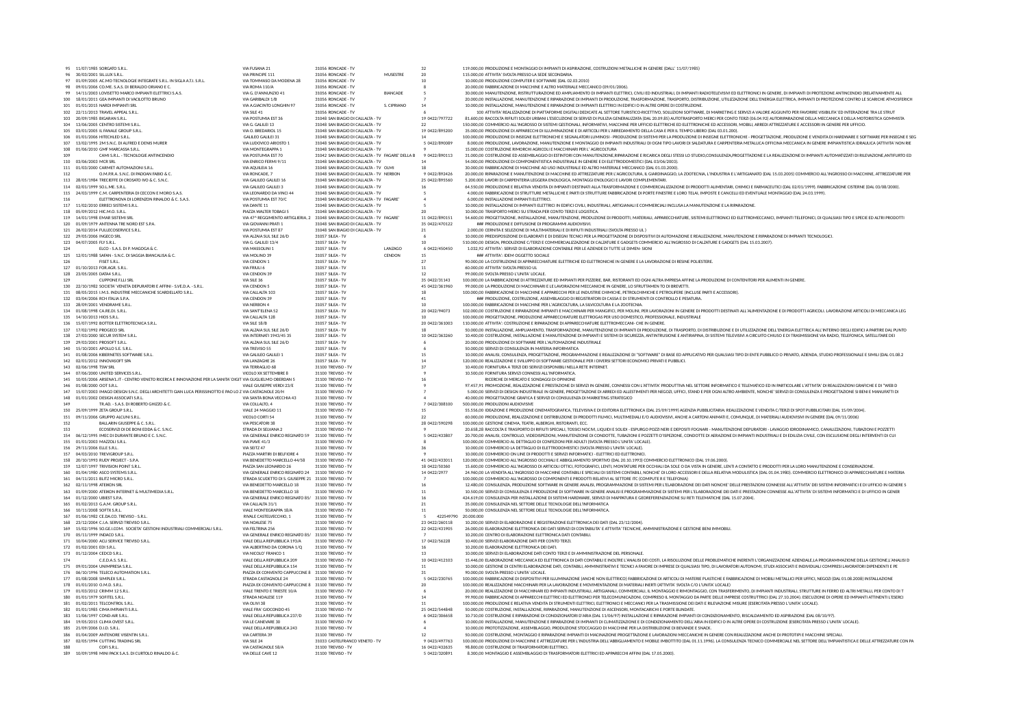|     | 95 11/07/1985 SORGATO S.R.L.                                                                                                              | VIA FUSANA 21                                                                    | 31056 RONCADE - TV                                                                     |                 | 32                              | 119.000,00 PRODUZIONE E MONTAGGIO DI IMPIANTI DI ASPIRAZIONE, COSTRUZIONI METALLICHE IN GENERE (DALL' 11/07/1985)                                                                                                                                                                                                                                                                                                                      |
|-----|-------------------------------------------------------------------------------------------------------------------------------------------|----------------------------------------------------------------------------------|----------------------------------------------------------------------------------------|-----------------|---------------------------------|----------------------------------------------------------------------------------------------------------------------------------------------------------------------------------------------------------------------------------------------------------------------------------------------------------------------------------------------------------------------------------------------------------------------------------------|
|     | 30/03/2001 SIL.LUX S.R.L.                                                                                                                 | VIA PRINCIPE 111                                                                 | 31056 RONCADE - TV                                                                     | MUSESTRE        | 20                              | 115.000,00 ATTIVITA' SVOLTA PRESSO LA SEDE SECONDARIA                                                                                                                                                                                                                                                                                                                                                                                  |
|     | 97 01/09/2005 AC.MO TECNOLOGIE INTEGRATE S.R.L. IN SIGLA A.T.I. S.R.L.<br>98 09/01/2006 CO.ME. S.A.S. DI BERALDO ORIANO E C.              | VIA TOMMASO DA MODENA 28<br>VIA ROMA 110/A                                       | 31056 RONCADE - TV<br>31056 RONCADE - TV                                               |                 |                                 | 10.000,00 PRODUZIONE COMPUTER E SOFTWARE (DAL 02.03.2010)<br>20,000.00 FABBRICAZIONE DI MACCHINE E ALTRO MATERIALE MECCANICO (09/01/2006).                                                                                                                                                                                                                                                                                             |
|     | 99 14/11/2003 LOVISETTO MARCO IMPIANTI ELETTRICI S.A.S.                                                                                   | VIA G. D'ANNUNZIO 41                                                             | 31056 RONCADE - TV                                                                     | <b>BIANCADE</b> |                                 | 30,000,00 MANUTENZIONE. RISTRUTTURAZIONE ED AMPLIAMENTO DI IMPIANTI ELETTRICI. CIVILI ED INDUSTRIALI. DI IMPIANTI RADIOTELEVISIVI ED ELETTRONICI IN GENERE. DI IMPIANTI DI PROTEZIONE ANTINCENDIO (RELATIVAMENTE ALL                                                                                                                                                                                                                   |
|     | 100 18/01/2011 GEA IMPIANTI DI VACILOTTO BRUNO                                                                                            | VIA GARIBALDI 1/B                                                                | 31056 RONCADE - TV                                                                     |                 |                                 | 20,000,00 INSTALLAZIONE. MANUTENZIONE E RIPARAZIONE DI IMPIANTI DI PRODUZIONE. TRASFORMAZIONE. TRASPORTO. DISTRIBUZIONE. UTILIZZAZIONE DELL'ENERGIA ELETTRICA. IMPIANTI DI PROTEZIONE CONTRO LE SCARICHE ATMOSFERICH                                                                                                                                                                                                                   |
|     | 101 01/01/2015 NARDI IMPIANTI SRL                                                                                                         | VIA A.GIACINTO LONGHIN 97                                                        | 31056 RONCADE - TV                                                                     | S. CIPRIANO     | 14                              | 10.000.00 INSTALLAZIONE. MANUTENZIONE E RIPARAZIONE DI IMPIANTI ELETTRICI IN EDIFICI O IN ALTRE OPERE DI COSTRUZIONE.                                                                                                                                                                                                                                                                                                                  |
| 103 | 102 22/11/2013 TRAVEL APPEAL S.R.L<br>20/09/1985 BIGARAN S.R.L                                                                            | VIA SILE 41<br>VIA POSTUMIA EST 36                                               | 31056 RONCADE - TV<br>31048 SAN BIAGIO DI CALLALTA - TV                                |                 | 19 0422/797722                  | 100 ATTIVITA' REALIZZAZIONE DI PIATTAFORME DIGITALI DEDICATE AL SETTORE TURISTICO-RICETTIVO, SOLUZIONI SOFTWARE, DI MARKETING E SERVIZI A VALORE AGGIUNTO PER FAVORIRE VISIBILITA' ED INTERAZIONE TRA LE STRUT<br>81.600,00 RACCOLTA RIFIUTI SOLIDI URBANI L'ESECUZIONE DI SERVIZI DI PULIZIA GENERALIZZATA (DAL 20.09.85) AUTOTRASPORTO MERCI PER CONTO TERZI (06.04.92) AUTORIPARAZIONE DELLA MECCANICA E DELLA MOTORISTICA GOMMISTA |
|     | 104 13/06/2005 CENTRO SISTEMI S.R.L.                                                                                                      | VIA G. GALILEI 13                                                                | 31048 SAN BIAGIO DI CALLALTA - TV                                                      |                 |                                 | 150.000,00 COMMERCIO ALL'INGROSSO DI SISTEMI GESTIONALI, INFORMATIVI, MACCHINE PER UFFICIO ELETTRICHE ED ELETTRONICHE ED ACCESSORI, MOBILI, ARREDI ATTREZZATURE E ACCESSORI IN GENERE PER UFFICIO.                                                                                                                                                                                                                                     |
|     | 105 03/01/2005 IL FANALE GROUP S.R.L                                                                                                      | VIA O. BREDARIOL 15                                                              | 31048 SAN BIAGIO DI CALLALTA - TV                                                      |                 | 19 0422/895200                  | 35,000.00 PRODUZIONE DI APPARECCHI DI ILLUMINAZIONE E DI ARTICOLI PER L'ARREDAMENTO DELLA CASA E PER IL TEMPO LIBERO (DAL 03.01.200).                                                                                                                                                                                                                                                                                                  |
|     | 106 01/01/2006 HITECHLED S.R.L.                                                                                                           | <b>GALILEO GALILEI 31</b>                                                        | 31048 SAN BIAGIO DI CALLALTA - TV                                                      |                 | 14                              | 100.000.00 PRODUZIONE DI INSEGNE ELETTRONICHE E SEGNALATORI LUMINOSI - PRODUZIONE DI SISTEMI PER LA PRODUZIONE DI INSEGNE ELETTRONICHE - PROGETTAZIONE. PRODUZIONE E VENDITA DI HARDWARE E SOFTWARE PER INSEGNE E SEG                                                                                                                                                                                                                  |
|     | 107 13/02/1995 2M S.N.C. DI ALFRED E DENIS MURER                                                                                          | VIA LUDOVICO ARIOSTO 1                                                           | 31048 SAN BIAGIO DI CALLALTA - TV                                                      |                 | 5 0422/890089                   | 8.000.00 PRODUZIONE. LAVORAZIONE. MANUTENZIONE E MONTAGGIO DI IMPIANTI INDUSTRIALI DI OGNI TIPO LAVORI DI SALDATURA E CARPENTERIA METALLICA OFFICINA MECCANICA IN GENERE IMPIANTISTICA IDRAULICA (ATTIVITA' NON RIE                                                                                                                                                                                                                    |
| 109 | 108 01/06/2010 GMF MARCASSA S.R.L.<br>CAMI S.R.L. - TECNOLOGIE ANTINCENDIO                                                                | VIA MONTEGRAPPA 1<br>VIA POSTUMIA EST 70                                         | 31048 SAN BIAGIO DI CALLALTA - TV<br>31042 SAN BIAGIO DI CALLALTA - TV FAGARE' DELLA B |                 | 9 0422/890113                   | 15,000.00 COSTRUZIONE RIMORCHI AGRICOLI E MACCHINARI PER L' AGRICOLTURA<br>31.000,00 COSTRUZIONE ED ASSEMBLAGGIO DI ESTINTORI CON MANUTENZIONE,RIPARAZIONE E RICARICA DEGLI STESSI LO STUDIO,CONSULENZA,PROGETTAZIONE E LA REALIZZAZIONE DI IMPIANTI AUTOMATIZZATI DI RILEVAZIONE,ANTIFURTO ED                                                                                                                                         |
|     | 110 03/06/2003 MCR SRL                                                                                                                    | VIA ENRICO FERMI 9/11                                                            | 31048 SAN BIAGIO DI CALLALTA - TV                                                      |                 | 14                              | 54.000,00 PRODUZIONE DI COMPONENTISTICA INDUSTRIALE IN GENERE E DI ELETTRODOMESTICI (DAL 03/06/2003)                                                                                                                                                                                                                                                                                                                                   |
|     | 111 01/03/2000 CARMET AUTOMAZIONI S.R.L.                                                                                                  | VIA AQUILEIA 16                                                                  | 31048 SAN BIAGIO DI CALLALTA - TV OLMI                                                 |                 |                                 | 30,000.00 FABBRICAZIONE DI MACCHINE AD USO INDUSTRIALE ED ALTRO MATERIALE MECCANICO (DAL 01.03.2000)                                                                                                                                                                                                                                                                                                                                   |
| 112 | O.M.P.R.A. S.N.C. DI PADOAN FABIO & C.                                                                                                    | VIA RONCADE. 7                                                                   | 31048 SAN BIAGIO DI CALLALTA - TV NERBON                                               |                 | 9 0422/892426                   | 20.000,00 RIPARAZIONE E MANUTENZIONE DI MACCHINE ED ATTREZZATURE PER L'AGRICOLTURA, IL GIARDINAGGIO, LA ZOOTECNIA, L'INDUSTRIA E L'ARTIGIANATO (DAL 15.03.2005) COMMERCIO ALL'INGROSSO DI MACCHINE, ATTREZZATURE PER                                                                                                                                                                                                                   |
|     | 113 28/05/1984 TRECIEFFE DI CROSATO IVO & C. S.N.C.                                                                                       | VIA GALILEO GALILEI 16                                                           | 31048 SAN BIAGIO DI CALLALTA - TV                                                      |                 | 25 0422/895560                  | 5.200.000 LAVORI DI CARPENTERIA LEGGERA ENOLOGICA. MONTAGGI ENOLOGICI E LAVORI COMPLEMENTARI.<br>64-550.00 PRODUZIONE E RELATIVA VENDITA DI IMPIANTI DESTINATI AI LA TRASFORMAZIONE E COMMERCIAI IZZAZIONE DI PRODOTTI AI IMENTARI CHIMICI E FARMACEUTICI (DAL 02/01/1999). FARRRICAZIONE CISTERNE (DAL 03/08/2000).                                                                                                                   |
|     | 114 02/01/1999 SO LMF S.R.L.<br>115 24/03/1999 C.M. CARPENTERIA DI CECCON E MORO S.A.S.                                                   | VIA GALILEO GALILELS<br>VIA LEONARDO DA VINCI 44                                 | 31048 SAN BIAGIO DI CALLALTA - TV<br>31048 SAN BIAGIO DI CALLALTA - TV                 |                 | 16                              | 4,000.00 FABBRICAZIONE DI STRUTTURE METALLICHE E PARTI DI STRUTTURE FABBRICAZIONE DI PORTE FINESTRE E LORO TELAI. IMPOSTE E CANCELLI ED EVENTUALE MONTAGGIO (DAL 24.03.1999)                                                                                                                                                                                                                                                           |
| 116 | ELETTRONOVA DI LORENZON RINALDO & C. S.A.S.                                                                                               | VIA POSTUMIA EST 70/C                                                            | 31048 SAN BIAGIO DI CALLALTA - TV FAGARE                                               |                 |                                 | 6,000.00 INSTALLAZIONE IMPIANTI ELETTRICI.                                                                                                                                                                                                                                                                                                                                                                                             |
|     | 117 11/02/2010 ERRECI SISTEMI S.R.L.                                                                                                      | VIA DANTE 11                                                                     | 31048 SAN BIAGIO DI CALLALTA - TV                                                      |                 |                                 | 10.000,00 INSTALLAZIONE DI IMPIANTI ELETTRICI IN EDIFICI CIVILI, INDUSTRIALI, ARTIGIANALI E COMMERCIALI INCLUSA LA MANUTENZIONE E LA RIPARAZIONE.                                                                                                                                                                                                                                                                                      |
|     | 118 05/09/2012 HIC.M.O. S.R.L.                                                                                                            | PIAZZA WALTER TOBAGI 5                                                           | 31048 SAN BIAGIO DI CALLALTA - TV                                                      |                 |                                 | 10.000,00 TRASPORTO MERCI SU STRADA PER CONTO TERZI E LOGISTICA                                                                                                                                                                                                                                                                                                                                                                        |
|     | 119 14/01/1998 EMAR SISTEMI SRL<br>120 01/09/1979 ANTENNA TRE NORD EST S.P.A.                                                             | VIA 47^ REGGIMENTO ARTIGLIERIA, 2 31048 SAN BIAGIO DI CALLALTA - TV FAGARE'      | 31048 SAN BIAGIO DI CALLALTA - TV                                                      |                 | 11 0422/890151                  | 54.600,00 PROGETTAZIONE, INSTALLAZIONE, MANUTENZIONE, PRODUZIONE DI PRODOTTI, MATERIALI, APPARECCHIATURE, SISTEMI ELETTRONICI ED ELETTROMECCANICI, IMPIANTI TELEFONICI, DI QUALSIASI TIPO E SPECIE ED ALTRI PRODOTTI<br>### PRODUZIONE E DIFFUSIONE DI PROGRAMMI AUDIOVISIVI.                                                                                                                                                          |
|     | 121 26/02/2014 FULLECOSERVICE S.R.L.                                                                                                      | VIA GIOVANNI PRATI 1<br>VIA POSTUMIA EST 87                                      | 31048 SAN BIAGIO DI CALLALTA - TV                                                      |                 | 35 0422/470122<br>21            | 2.000.00 CERNITA E SELEZIONE DI MULTIMATERIALI E DI RIFIUTI INDUSTRIALI (SVOLTA PRESSO UL )                                                                                                                                                                                                                                                                                                                                            |
|     | 122 29/05/2006 INGECO SRL                                                                                                                 | VIA ALZAIA SUL SILE 26/D                                                         | 31057 SILEA - TV                                                                       |                 |                                 | 10.000,00 PREDISPOSIZIONE DI ELABORATI E DI DISEGNI TECNICI PER LA PROGETTAZIONE DI DISPOSITIVI DI AUTOMAZIONE E REALIZZAZIONE, MANUTENZIONE E RIPARAZIONE DI IMPIANTI TECNOLOGICI.                                                                                                                                                                                                                                                    |
|     | 123 04/07/2005 FLY S.R.L                                                                                                                  | VIA G. GALILEI 13/4                                                              | 31057 SILEA - TV                                                                       |                 | 10                              | 510.000,00 DESIGN, PRODUZIONE C/TERZI E COMMERCIALIZZAZIONE DI CALZATURE E GADGETS COMMERCIO ALL'INGROSSO DI CALZATURE E GADGETS (DAL 15.03.2007)                                                                                                                                                                                                                                                                                      |
| 124 | ELCO - S.A.S. DI P. MAGOGA & C.                                                                                                           | VIA MASSOLINI 1                                                                  | 31057 SILEA - TV                                                                       | LANZAGO         | 6 0422/450450                   | 1.032,92 ATTIVITA': SERVIZI DI ELABORAZIONE CONTABILE PER LE AZIENDE DI TUTTE LE DIMEN- SION                                                                                                                                                                                                                                                                                                                                           |
|     | 125 12/01/1988 SAFAN - S.N.C. DI SAGGIA BIANCALISA & C                                                                                    | VIA MOLINO 39                                                                    | 31057 SILEA - TV                                                                       | CENDON          | 15                              | ### ATTIVITA': IDEM OGGETTO SOCIALE                                                                                                                                                                                                                                                                                                                                                                                                    |
| 126 | FISET S.R.L<br>127 01/10/2013 FOR.AGR, S.R.L.                                                                                             | VIA CENDON 1<br>VIA FRIULI 6                                                     | 31057 SILEA - TV<br>31057 SILEA - TV                                                   |                 | 27<br>11                        | 90.000,00 LA COSTRUZIONE DI APPARECCHIATURE ELETTRICHE ED ELETTRONICHE IN GENERE E LA LAVORAZIONE DI RESINE POLIESTERE.<br>60,000.00 ATTIVITA' SVOLTA PRESSO UL                                                                                                                                                                                                                                                                        |
|     | 128 23/05/2005 DATA4 S.R.L.                                                                                                               | VIA CENDON 39                                                                    | 31057 SILEA - TV                                                                       |                 | 12                              | 99,000.00 SVOLTA PRESSO L'UNITA' LOCALE.                                                                                                                                                                                                                                                                                                                                                                                               |
| 129 | <b>CUPPONE F.LLI SRL</b>                                                                                                                  | VIA SILE 36                                                                      | 31057 SILEA - TV                                                                       |                 | 35 0422/31143                   | 100.000,00 LA FABBRICAZIONE DI ATTREZZATURE ED IMPIANTI PER PIZZERIE, BAR, RISTORANTI ED OGNI ALTRA IMPRESA AFFINE LA PRODUZIONE DI CONTENITORI PER ALIMENTI IN GENERE                                                                                                                                                                                                                                                                 |
|     | 130 22/10/1982 SOCIETA' VENETA DEPURATORI E AFFINI - S.VE.D.A. - S.R.L.                                                                   | VIA CENDON 5                                                                     | 31057 SILEA - TV                                                                       |                 | 45 0422/361960                  | 99.000.00 LA PRODUZIONE DI MACCHINARI E LE LAVORAZIONI MECCANICHE IN GENERE. LO SFRUTTAMEN TO DI BREVETTI.                                                                                                                                                                                                                                                                                                                             |
|     | 131 08/05/2015 I.M.S. INDUSTRIE MECCANICHE SCARDELLATO S.R.L                                                                              | VIA CALLALTA 103                                                                 | 31057 SILEA - TV                                                                       |                 | 18                              | 100.000,00 FABBRICAZIONE DI MACCHINE E APPARECCHI PER LE INDUSTRIE CHIMICHE, PETROLCHIMICHE E PETROLIFERE (INCLUSE PARTI E ACCESSORI).                                                                                                                                                                                                                                                                                                 |
|     | 132 03/04/2006 RCH ITALIA S.P.A.<br>133 28/09/2001 VENDRAME S.R.L.                                                                        | VIA CENDON 39<br><b>VIA NERBON 4</b>                                             | 31057 SILEA - TV<br>31057 SILEA - TV                                                   |                 | 41<br>10                        | ### PRODUZIONE. COSTRUZIONE. ASSEMBLAGGIO DI REGISTRATORI DI CASSA E DI STRUMENTI DI CONTROLLO E PESATURA.<br>100,000.00 FABBRICAZIONE DI MACCHINE PER L'AGRICOLTURA. LA SILVICOLTURA E LA ZOOTECNIA                                                                                                                                                                                                                                   |
|     | 134 01/08/1998 CA.RE.DI. S.R.L.                                                                                                           | VIA SANT'ELENA 52                                                                | 31057 SILEA - TV                                                                       |                 | 20 0422/94073                   | 102.000.00 COSTRUZIONE E RIPARAZIONE IMPIANTI E MACCHINARI PER MANGIFICI. PER MOLINI. PER LAVORAZIONI IN GENERE DI PRODOTTI DESTINATI ALL'ALIMENTAZIONE E DI PRODOTTI AGRICOLI. LAVORAZIONE ARTICOLI DI MECCANICA LEG                                                                                                                                                                                                                  |
|     | 135 14/10/2013 HIOS S.R.L.                                                                                                                | VIA CALLALTA 128                                                                 | 31057 SILEA - TV                                                                       |                 | 10                              | 100,000.00 PROGETTAZIONE. PRODUZIONE APPARECCHIATURE ELETTROGAS PER USO DOMESTICO. PROFESSIONALE. INDUSTRIALE                                                                                                                                                                                                                                                                                                                          |
|     | 136 15/07/1992 BOTTER ELETTROTECNICA S.R.L.                                                                                               | VIA SILE 18/B                                                                    | 31057 SILEA - TV                                                                       |                 | 20 0422/361003                  | 110.000.00 ATTIVITA': COSTRUZIONE E RIPARAZIONE DI APPARECCHIATURE ELETTROMECCANI- CHE IN GENERE.                                                                                                                                                                                                                                                                                                                                      |
|     | 137 17/02/1992 PROGECO SRL                                                                                                                | VIA ALZAIA SUL SILE 26/D                                                         | 31057 SILEA - TV                                                                       |                 |                                 | 50,000,00 INSTALLAZIONE, AMPLIAMENTO, TRASFORMAZIONE, MANUTENZIONE DI IMPIANTI DI PRODUZIONE, DI TRASPORTO, DI DISTRIBUZIONE E DI UTILIZZAZIONE DELL'ENERGIA ELETTRICA ALL'INTERNO DEGLI EDIFICI A PARTIRE DAL PUNTO                                                                                                                                                                                                                   |
|     | 138 27/03/2000 SECUR SYSTEM S.R.L.                                                                                                        | VIA INTERNATI 1943/45 35                                                         | 31057 SILEA - TV                                                                       |                 | 10 0422/363260                  | 10.400,00 COSTRUZIONE, INSTALLAZIONE E MANUTENZIONE DI IMPIANTI E SISTEMI DI SICUREZZA, ANTINTRUSIONE E ANTIRAPINA, DI SISTEMI TELEVISIVI A CIRCUITO CHIUSO E DI TRASMISSIONE VIA RADIO, TELEFONICA, SATELLITARE DEI                                                                                                                                                                                                                   |
|     | 139 29/03/2001 PROSOFT S.R.L.<br>140 15/10/2001 APOLLO S.E. S.R.L.                                                                        | VIA ALZAIA SUL SILE 26/D<br>VIA TREVISO 55                                       | 31057 SILEA - TV<br>31057 SILEA - TV                                                   |                 |                                 | 20,000.00 PRODUZIONE DI SOFTWARE PER L'AUTOMAZIONE INDUSTRIALE<br>50,000.00 SERVIZI DI CONSULENZA IN MATERIA INFORMATICA                                                                                                                                                                                                                                                                                                               |
|     | 141 01/08/2006 KIBERNETES SOFTWARE S.R.L.                                                                                                 | VIA GALILEO GALILEI 1                                                            | 31057 SILEA - TV                                                                       |                 | 15                              | 10.000,00 ANALISI, CONSULENZA, PROGETTAZIONE, PROGRAMMAZIONE E REALIZZAZIONE DI "SOFTWARE" DI BASE ED APPLICATIVO PER QUALSIASI TIPO DI ENTE PUBBLICO O PRIVATO, AZIENDA, STUDIO PROFESSIONALE E SIMILI (DAL 01.08.2                                                                                                                                                                                                                   |
|     | 142 02/01/2012 INNOVASOFT SPA                                                                                                             | VIA LANZAGHE 26                                                                  | 31057 SILEA - TV                                                                       |                 | 14                              | 120.000.00 REALIZZAZIONE E SVILUPPO DI SOFTWARE GESTIONALE PER I DIVERSI SETTORI ECONOMICI PRIVATI E PUBBLICI.                                                                                                                                                                                                                                                                                                                         |
|     | 143 02/06/1998 TSW SRL                                                                                                                    | VIA TERRAGLIO 68                                                                 | 31100 TREVISO - TV                                                                     |                 | 37                              | 10.400.00 FORNITURA A TERZI DEI SERVIZI DISPONIBILI NELLA RETE INTERNET.                                                                                                                                                                                                                                                                                                                                                               |
|     | 144 07/06/2000 UNITED SERVICES S.R.L.                                                                                                     | VICOLO XX SETTEMBRE 8                                                            | 31100 TREVISO - TV                                                                     |                 |                                 | 10.500,00 FORNITURA SERVIZI CONNESSI ALL'INFORMATICA.                                                                                                                                                                                                                                                                                                                                                                                  |
|     | 145 10/05/2006 ARSENA'L.IT - CENTRO VENETO RICERCA E INNOVAZIONE PER LA SANITA' DIGIT VIA GUGLIELMO OBERDAN 5<br>146 01/08/2000 OOT S.R.L | VIALE GIUSEPPE VERDI 23/E                                                        | 31100 TREVISO - TV<br>31100 TREVISO - TV                                               |                 | 16                              | RICERCHE DI MERCATO E SONDAGGI DI OPINIONE<br>97.457,91 PROMOZIONE, REALIZZAZIONE E PRESTAZIONE DI SERVIZI IN GENERE, CONNESSI CON L'ATTIVITA' PRODUTTIVA NEL SETTORE INFORMATICO E TELEMATICO ED IN PARTICOLARE L'ATTIVITA' DI REALIZZAZIONI GRAFICHE E DI "WEB D                                                                                                                                                                     |
| 147 | 15/07/2003 IMAGO DESIGN S.N.C. DEGLI ARCHITETTI GIAN LUCA PERISSINOTTO E PAO LO Z VIA CASTAGNOLE 20/H                                     |                                                                                  | 31100 TREVISO - TV                                                                     |                 |                                 | 5.000,00 SERVIZI DI DESIGN INDUSTRIALE IN GENERE, PROGETTAZIONE DI ARREDI ED ALLESTIMENTI PER NEGOZI, UFFICI, STAND E PER OGNI ALTRO AMBIENTE, NONCHE' SERVIZI DI CONSULENZA E PROGETTAZIONE SI BENI E MANUFATTI DI                                                                                                                                                                                                                    |
|     | 148 01/01/2002 DESIGN ASSOCIATI S.R.L.                                                                                                    | VIA SANTA BONA VECCHIA 43                                                        | 31100 TREVISO - TV                                                                     |                 |                                 | 40.000,00 PROGETTAZIONE GRAFICA E SERVIZI DI CONSULENZA DI MARKETING STRATEGICO                                                                                                                                                                                                                                                                                                                                                        |
| 149 | TR.AD. - S.A.S. DI ROBERTO GHIZZO & C.                                                                                                    | VIA COLLALTO, 4                                                                  | 31100 TREVISO - TV                                                                     |                 | 7 0422/308100                   | 500,000,00 PRODUZIONI AUDIOVISIVE                                                                                                                                                                                                                                                                                                                                                                                                      |
|     | 150 25/09/1999 ZETA GROUP S.R.L.                                                                                                          | VIALE 24 MAGGIO 11                                                               | 31100 TREVISO - TV                                                                     |                 | 15                              | 55.556.00 IDEAZIONE E PRODUZIONE CINEMATOGRAFICA, TELEVISIVA E DI EDITORIA ELETTRONICA (DAL 25/09/1999) AGENZIA PUBBLICITARIA: REALIZZAZIONE E VENDITA C/TERZI DI SPOT PUBBLICITARI (DAL 15/09/2004).                                                                                                                                                                                                                                  |
| 152 | 151 09/11/2006 GRUPPO ALCUNI S.R.L<br>BALLARIN GIUSEPPE & C. S.R.L                                                                        | VICOLO CORTI 54<br>VIA PESCATORI 38                                              | 31100 TREVISO - TV                                                                     |                 | 22                              | 60.000,00 PRODUZIONE, REALIZZAZIONE E DISTRIBUZIONE DI PRODOTTI FILMICI, MULTIMEDIALI E/O AUDIOVISIVI, ANCHE A CARTONI ANIMATI E, COMUNQUE, DI MATERIALI AUDIOVISIVI IN GENERE (DAL 09/11/2006)<br>100.000,00 GESTIONE CINEMA, TEATRI, ALBERGHI, RISTORANTI, ECC.                                                                                                                                                                      |
| 153 | ECOSERVIZI DI DE BONI EDDA & C. S.N.C.                                                                                                    | STRADA DI SELVANA 2                                                              | 31100 TREVISO - TV<br>31100 TREVISO - TV                                               |                 | 28 0422/590298                  | 20.658,28 RACCOLTA E TRASPORTO DI RIFIUTI SPECIALI, TOSSICI NOCIVI, LIQUIDI E SOLIDI - ESPURGO POZZI NERI E DEPOSITI FOGNARI - MANUTENZIONE DEPURATORI - LAVAGGIO IDRODINAMICO, CANALIZZAZIONI, TUBAZIONI E POZZETTI                                                                                                                                                                                                                   |
|     | 154 06/12/1995 IMEC DI DURANTE BRUNO E C. S.N.C.                                                                                          | VIA GENERALE ENRICO REGINATO 59 31100 TREVISO - TV                               |                                                                                        |                 | 5 0422/433807                   | 20.700,00 ANALISI, CONTROLLO, VIDEOISPEZIONI, MANUTENZIONE DI CONDOTTE, TUBAZIONI E POZZETTI D'ISPEZIONE, CONDOTTE DI AERAZIONE DI IMPIANTI INDUSTRIALI E DI EDILIZIA CIVILE, CON ESCLUSIONE DEGLI INTERVENTI DI CUI                                                                                                                                                                                                                   |
|     | 155 01/01/2003 MAZZOLI S.R.L.                                                                                                             | VIA PIAVE 41/3                                                                   | 31100 TREVISO - TV                                                                     |                 |                                 | 100,000.00 COMMERCIO AL DETTAGLIO DI CONFEZIONI PER ADULTI (SVOLTA PRESSO L'UNITA' LOCALE).                                                                                                                                                                                                                                                                                                                                            |
|     | 156 29/11/2006 ELLE S.R.L.                                                                                                                | VIA SEITZ 47                                                                     | 31100 TREVISO - TV                                                                     |                 | 36                              | 10,000.00 COMMERCIO LA DETTAGLIO DI ELETTRODOMESTICI (SVOLTA PRESSO L'UNITA' LOCALE).                                                                                                                                                                                                                                                                                                                                                  |
|     | 157 04/03/2010 TREVIGROUP S.R.L.<br>158 20/10/1993 RUDY PROJECT - S.P.A.                                                                  | PIAZZA MARTIRI DI BELFIORE 4<br>VIA BENEDETTO MARCELLO 44/58 31100 TREVISO - TV  | 31100 TREVISO - TV                                                                     |                 | 41 0422/433011                  | 10.000.00 COMMERCIO ON LINE DI PRODOTTI E SERVIZI INFORMATICI - ELETTRICI ED ELETTRONICI.                                                                                                                                                                                                                                                                                                                                              |
|     | 159 12/07/1997 TRIVISION POINT S.R.L                                                                                                      | PIAZZA SAN LEONARDO 26                                                           | 31100 TREVISO - TV                                                                     |                 | 18 0422/50360                   | 120.000,00 COMMERCIO ALL'INGROSSO OCCHIALI E ABBIGLIAMENTO SPORTIVO (DAL 20.10.1993) COMMERCIO ELETTRONICO (DAL 19.06.2000).<br>15.600,00 COMMERCIO ALL'INGROSSO DI ARTICOLI OTTICI, FOTOGRAFICI, LENTI, MONTATURE PER OCCHIALI DA SOLE O DA VISTA IN GENERE, LENTI A CONTATTO E PRODOTTI PER LA LORO MANUTENZIONE E CONSERVAZIONE.                                                                                                    |
|     | 160 01/04/1980 ASCO SYSTEMS S.R.L.                                                                                                        | VIA GENERALE ENRICO REGINATO 24 31100 TREVISO - TV                               |                                                                                        |                 | 14 0422/2977                    | 24.960,00 LA VENDITA ALL'INGROSSO DI MACCHINE CONTABILI E SPECIALI DI SISTEMI CONTABILI, NONCHE' DI LORO ACCESSORI E DELLA RELATIVA MODULISTICA (DAL 01.04.1980). COMMERCIO ELETTRONICO DI APPARECCHIATURE E MATERIA                                                                                                                                                                                                                   |
|     | 161 04/11/2011 BLITZ MICRO S.R.L.                                                                                                         | STRADA SCUDETTO DI S. GIUSEPPE 21 31100 TREVISO - TV                             |                                                                                        |                 |                                 | 100,000,00 COMMERCIO ALL'INGROSSO DI COMPONENTI E PRODOTTI RELATIVI AL SETTORE ITC (COMPUTE R E TELEFONIA)                                                                                                                                                                                                                                                                                                                             |
|     | 162 02/11/1998 ATEIKON SRL                                                                                                                | VIA BENEDETTO MARCELLO 18                                                        | 31100 TREVISO - TV                                                                     |                 | 16                              | 12.480,00 CONSULENZA, PRODUZIONE SOFTWARE IN GENERE ANALISI, PROGRAMMAZIONE DI SISTEMI PER L'ELABORAZIONE DEI DATI NONCHE' DELLE PRESTAZIONI CONNESSE ALL'ATTIVITA' DEI SISTEMI INFORMATICI E DI UFFICIO IN GENERE S                                                                                                                                                                                                                   |
|     | 163 01/09/2000 ATEIKON INTERNET & MULTIMEDIA S.R.L.<br>164 01/12/2000 UBIEST S.P.A.                                                       | VIA BENEDETTO MARCELLO 18<br>VIA GENERALE ENRICO REGINATO 85/ 31100 TREVISO - TV | 31100 TREVISO - TV                                                                     |                 | 11<br>16                        | 10.500.00 SERVIZI DI CONSULENZA E PRODUZIONE DI SOFTWARE IN GENERE ANALISI E PROGRAMMAZIONE DEI SISTEMI PER L'ELABORAZIONE DEI DATI E PRESTAZIONI CONNESSE ALL'ATTIVITA' DI SISTEMI INFORMATICI E DI UFFICIO IN GENER<br>424 619 00 CONSULENZA PER INSTALLAZIONE DI SISTEMI HARDWARE. SERVIZI DI MAPPATURA E GEOREFERENZIAZIONE SU RETLTELEMATICHE (DAL 15.07.2004).                                                                   |
|     | 165 01/02/2013 G.A.M. GROUP S.R.L.                                                                                                        | VIA CALLALTA 31/1                                                                | 31100 TREVISO - TV                                                                     |                 | 21                              | 35,000.00 CONSULENZA NEL SETTORE DELLE TECNOLOGIE DELL'INFORMATICA                                                                                                                                                                                                                                                                                                                                                                     |
|     | 166 10/11/2008 SOFTX S.R.L.                                                                                                               | VIALE MONTEGRAPPA 18/A                                                           | 31100 TREVISO - TV                                                                     |                 | 11                              | 50,000.00 CONSULENZA NEL SETTORE DELLE TECNOLOGIE DELL'INFORMATICA                                                                                                                                                                                                                                                                                                                                                                     |
|     | 167 01/06/1982 CE.DA.CO. TREVISO - S.R.L.                                                                                                 | RIVALE CASTELVECCHIO. 1                                                          | 31100 TREVISO - TV                                                                     |                 | 422549790 20,000,000            |                                                                                                                                                                                                                                                                                                                                                                                                                                        |
|     | 168 23/12/2004 C.I.A. SERVIZI TREVISO S.R.L.                                                                                              | VIA NOALESE 75                                                                   | 31100 TREVISO - TV                                                                     |                 | 23 0422/260118                  | 10.200.00 SERVIZI DI ELABORAZIONE E REGISTRAZIONE ELETTRONICA DEI DATI (DAL 23/12/2004).                                                                                                                                                                                                                                                                                                                                               |
|     | 169 15/02/1996 SO.GE.I.COM. SOCIETA' GESTIONI INDUSTRIALI COMMERCIALI S.R.L.<br>170 05/11/1999 INDACO S.R.L                               | VIA FELTRINA 256<br>VIA GENERALE ENRICO REGINATO 85/ 31100 TREVISO - TV          | 31100 TREVISO - TV                                                                     |                 | 22 0422/431905                  | 26.000.00 ELABORAZIONE ELETTRONICA DEI DATI SERVIZI DI CONTABILITA' E ATTIVITA' TECNICHE. AMMINISTRAZIONE E GESTIONE BENI IMMOBILI.<br>10.200.00 CENTRO DI ELABORAZIONE ELETTRONICA DATI CONTABILI.                                                                                                                                                                                                                                    |
|     | 171 10/04/2000 ACLI SERVICE TREVISO S.R.L.                                                                                                | VIALE DELLA REPURRIICA 193/A                                                     | 31100 TREVISO - TV                                                                     |                 | 17 0422/56228                   | 10.400.00 SERVIZI ELARORAZIONE DATI PER CONTO TERZI.                                                                                                                                                                                                                                                                                                                                                                                   |
|     | 172 01/02/2001 EDI S.R.L.                                                                                                                 | VIA ALBERTINO DA CORONA 1/Q                                                      | 31100 TREVISO - TV                                                                     |                 | 16                              | 10,200.00 ELABORAZIONE ELETTRONICA DEI DATI.                                                                                                                                                                                                                                                                                                                                                                                           |
|     | 173 01/12/2004 CEDCD S.R.L.                                                                                                               | VIA NICOLO' FRANCO 1                                                             | 31100 TREVISO - TV                                                                     |                 | 13                              | 10.000,00 SERVIZI DI ELABORAZIONE DATI CONTO TERZI E DI AMMINISTRAZIONE DEL PERSONALE.                                                                                                                                                                                                                                                                                                                                                 |
| 174 | C.E.D.A.S. S.R.L                                                                                                                          | VIALE DELLA REPUBBLICA 209                                                       | 31100 TREVISO - TV                                                                     |                 | 10 0422/412103                  | 15.446,00 ELABORAZIONE MECCANICA ED ELETTRONICA DI DATI CONTABILI E INOLTRE L'ANALISI DEI COSTI, LA RISOLUZIONE DELLE PROBLEMATICHE INERENTI L'ORGANIZZAZIONE AZIENDALE,LA PROGRAMMAZIONE DELLA GESTIONE,L'ANALISI D                                                                                                                                                                                                                   |
|     | 175 09/01/2004 UNIMPRESA S.R.L                                                                                                            | VIALE DELLA REPUBBLICA 154                                                       | 31100 TREVISO - TV                                                                     |                 | 11                              | 10.000,00 GESTIONE DI CENTRI ELABORAZIONE DATI, CONTABILI, AMMINISTRATIVI E TECNICI A FAVORE DI IMPRESE DI QUALSIASI TIPO, DI LAVORATORI AUTONOMI, STUDI ASSOCIATI E INDIVIDUALI COMPRESI LAVORATORI DIPENDENTI E PE                                                                                                                                                                                                                   |
|     | 176 06/10/1996 TELECO AUTOMATION S.R.L.                                                                                                   | PIAZZA EX CONVENTO CAPPUCCINE 8 31100 TREVISO - TV                               |                                                                                        |                 | 31                              | 90,000.00 SVOLTA PRESSO L'UNITA' LOCALE.<br>100.000.00 FABBRICAZIONE DI DISPOSITIVI PER ILLUMINAZIONE (ANCHE NON ELETTRICO) FABBRICAZIONE DI ARTICOLI DI MATERIE PLASTICHE E FABBRICAZIONE DI MOBILI METALLICI PER UFFICI. NEGOZI (DAL 01.08.2008) INSTALLAZIONE                                                                                                                                                                       |
|     | 177 01/08/2008 SIMPLEX S.R.L.<br>178 01/01/2010 O.M.D. S.R.L.                                                                             | STRADA CASTAGNOLE 24<br>PIAZZA EX CONVENTO CAPPUCCINE 8 31100 TREVISO - TV       | 31100 TREVISO - TV                                                                     |                 | 5 0422/230765<br>20             | 100.000.00 REALIZZAZIONE MACCHINARI PER LA LAVORAZIONE E MOVIMENTAZIONE DI MATERIALI INERTI (ATTIVITA' SVOLTA C/O L'UNITA' LOCALE)                                                                                                                                                                                                                                                                                                     |
|     | 179 01/03/2012 CRIMM 12 S.R.L                                                                                                             | VIALE TRENTO E TRIESTE 10/A                                                      | 31100 TREVISO - TV                                                                     |                 |                                 | 20,000.00 REALIZZAZIONE DI MACCHINARI ED IMPIANTI INDUSTRIALI. ARTIGIANALI. COMMERCIALI. IL MONTAGGIO E RIMONTAGGIO. CON TRASFERIMENTO. DI IMPIANTI INDUSTRIALI. STRUTTURE IN FERRO ED ALTRI METALLI. PER CONTO DI T                                                                                                                                                                                                                   |
|     | 180 01/01/1979 SOFITEL S.R.L.                                                                                                             | STRADA NOALESE 119                                                               | 31100 TREVISO - TV                                                                     |                 | 14                              | 99.900,00 FABBRICAZIONE DI APPARECCHI ELETTRICI ED ELETTRONICI PER TELECOMUNICAZIONI, COMPRESO IL MONTAGGIO DA PARTE DELLE IMPRESE COSTRUTTRICI (DAL 27.10.2004). ESECUZIONE DI OPERE ED IMPIANTI ATTINENTI L'ESERCI                                                                                                                                                                                                                   |
|     | 181 01/02/2011 TELCONTROL S.R.L.                                                                                                          | VIA OLIVI 38                                                                     | 31100 TREVISO - TV                                                                     |                 | 11                              | 100.000,00 PRODUZIONE E RELATIVA VENDITA DI STRUMENTI ELETTRICI, ELETTRONICI E MECCANICI PER LA TRASMISSIONE DEI DATI E RILEVAZIONE MISURE (ESERCITATA PRESSO L'UNITA' LOCALE).                                                                                                                                                                                                                                                        |
|     | 182 01/01/1985 CIMA IMPIANTI S.R.L.                                                                                                       | VIALE FRA' GIOCONDO 45<br>VIALE DELLA REPUBBLICA 237/D                           | 31100 TREVISO - TV<br>31100 TREVISO - TV                                               |                 | 25 0422/544848<br>6 0422/306658 | 50.000.00 COSTRUZIONE. INSTALLAZIONE. RIPARAZIONE. MANUTENZIONE DI ASCENSORI. MONTACARICHI E PORTE BLINDATE.<br>10.710,00 COSTRUZIONE E RIPARAZIONE DI CONDIZIONATORI D'ARIA (DAL 11/06/97) INSTALLAZIONE E RIPARAZIONE IMPIANTI DI CONDIZIONAMENTO, RISCALDAMENTO ED ASPIRAZIONE (DAL 08/10/97).                                                                                                                                      |
|     | 183 11/06/1997 COND-AIR S.R.L.<br>184 19/05/2015 CLIMA OVEST S.R.L.                                                                       | VIA LE CANEVARE 30                                                               | 31100 TREVISO - TV                                                                     |                 |                                 | 10.000.00 INSTALLAZIONE. MANUTENZIONE E RIPARAZIONE DI IMPIANTI DI CLIMATIZZAZIONE E DI CONDIZIONAMENTO DELL'ARIA IN EDIFICI O IN ALTRE OPERE DI COSTRUZIONE (ESERCITATA PRESSO L'UNITA' LOCALE).                                                                                                                                                                                                                                      |
|     | 185 21/09/2006 D.I.D. S.R.L.                                                                                                              | VIALE DELLA REPUBBLICA 243                                                       | 31100 TREVISO - TV                                                                     |                 |                                 | 10.000.00 PROTOTIZZAZIONE. ASSEMBLAGGIO, PRODUZIONE STOCCAGGIO DI MACCHINE PER LA DISTRIBUZIONE DI BEVANDE E SNACK.                                                                                                                                                                                                                                                                                                                    |
|     | 186 01/04/2009 ANTENORE VISENTIN S.R.L.                                                                                                   | VIA CARTERA 39                                                                   | 31100 TREVISO - TV                                                                     |                 | 12                              | 50.000,00 COSTRUZIONE, MONTAGGIO E RIPARAZIONE IMPIANTI DI MACINAZIONE PROGETTAZIONE E LAVORAZIONI MECCANICHE IN GENERE CON REALIZZAZIONE ANCHE DI PROTOTIPI E MACCHINE SPECIALI.                                                                                                                                                                                                                                                      |
|     | 187 02/05/1994 CUTTING TRADING SRL                                                                                                        | VIA SILE 24                                                                      | 31033 CASTELFRANCO VENETO - TV                                                         |                 | 9 0423/497763                   | 100.000,00 PRODUZIONE DI MACCHINE E ATTREZZATURE PER L'INDUSTRIA DELL'ABBIGLIAMENTO E MOBILE IMBOTTITO (DAL 01.11.1996). LA CONSULENZA TECNICO COMMERCIALE NEL SETTORE DELL'IMPIANTISTICA E DELLE ATTREZZATURE CON PA                                                                                                                                                                                                                  |
| 188 | COFI S.R.L.                                                                                                                               | VIA CASTAGNOLE 58/A                                                              | 31100 TREVISO - TV<br>31100 TREVISO - TV                                               |                 | 16 0422/432635<br>5 0422/320891 | 98,800.00 COSTRUZIONE DI TRASFORMATORI ELETTRICI.                                                                                                                                                                                                                                                                                                                                                                                      |
|     | 189 10/09/1998 MINI PACK S.A.S. DI CURTOLO RINALDO & C.                                                                                   | VIA DELLE CAVE 12                                                                |                                                                                        |                 |                                 | 8.300,00 MONTAGGIO E ASSEMBLAGGIO DI TRASFORMATORI ELETTRICI ED APPARECCHI AFFINI (DAL 17.05.2000).                                                                                                                                                                                                                                                                                                                                    |